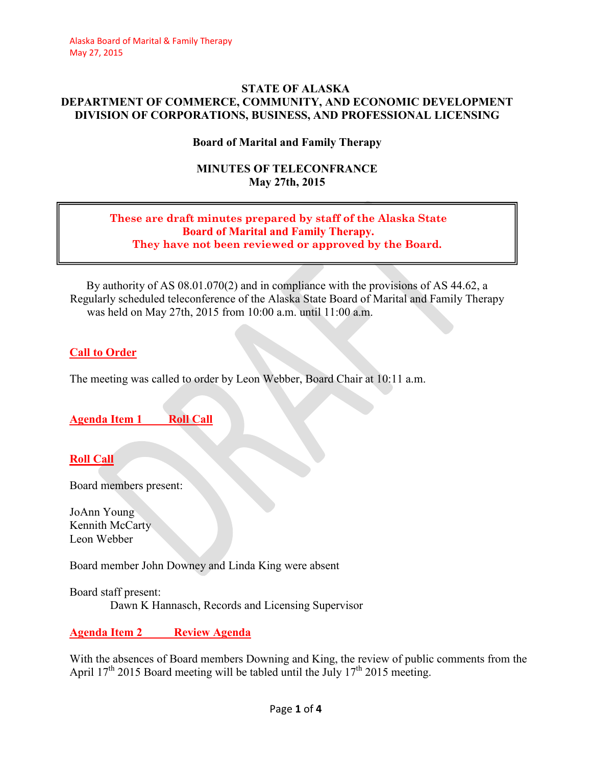#### **STATE OF ALASKA DEPARTMENT OF COMMERCE, COMMUNITY, AND ECONOMIC DEVELOPMENT DIVISION OF CORPORATIONS, BUSINESS, AND PROFESSIONAL LICENSING**

### **Board of Marital and Family Therapy**

### **MINUTES OF TELECONFRANCE May 27th, 2015**

#### **These are draft minutes prepared by staff of the Alaska State Board of Marital and Family Therapy. They have not been reviewed or approved by the Board.**

By authority of AS 08.01.070(2) and in compliance with the provisions of AS 44.62, a Regularly scheduled teleconference of the Alaska State Board of Marital and Family Therapy was held on May 27th, 2015 from 10:00 a.m. until 11:00 a.m.

### **Call to Order**

The meeting was called to order by Leon Webber, Board Chair at 10:11 a.m.

**Agenda Item 1 Roll Call** 

# **Roll Call**

Board members present:

JoAnn Young Kennith McCarty Leon Webber

Board member John Downey and Linda King were absent

Board staff present: Dawn K Hannasch, Records and Licensing Supervisor

## **Agenda Item 2 Review Agenda**

With the absences of Board members Downing and King, the review of public comments from the April  $17<sup>th</sup>$  2015 Board meeting will be tabled until the July  $17<sup>th</sup>$  2015 meeting.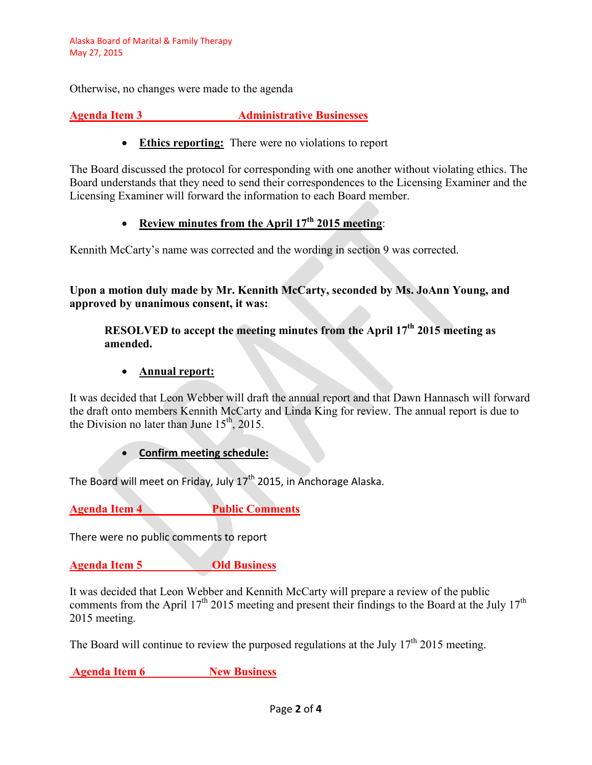Otherwise, no changes were made to the agenda

**Agenda Item 3** Administrative Businesses

• **Ethics reporting:** There were no violations to report

The Board discussed the protocol for corresponding with one another without violating ethics. The Board understands that they need to send their correspondences to the Licensing Examiner and the Licensing Examiner will forward the information to each Board member.

#### • **Review minutes from the April 17th 2015 meeting**:

Kennith McCarty's name was corrected and the wording in section 9 was corrected.

**Upon a motion duly made by Mr. Kennith McCarty, seconded by Ms. JoAnn Young, and approved by unanimous consent, it was:**

**RESOLVED to accept the meeting minutes from the April 17th 2015 meeting as amended.**

### • **Annual report:**

It was decided that Leon Webber will draft the annual report and that Dawn Hannasch will forward the draft onto members Kennith McCarty and Linda King for review. The annual report is due to the Division no later than June  $15<sup>th</sup>$ , 2015.

#### • **Confirm meeting schedule:**

The Board will meet on Friday, July 17<sup>th</sup> 2015, in Anchorage Alaska.

**Agenda Item 4 Public Comments** 

There were no public comments to report

**Agenda Item 5 Old Business**

It was decided that Leon Webber and Kennith McCarty will prepare a review of the public comments from the April 17<sup>th</sup> 2015 meeting and present their findings to the Board at the July 17<sup>th</sup> 2015 meeting.

The Board will continue to review the purposed regulations at the July  $17<sup>th</sup> 2015$  meeting.

**Agenda Item 6 New Business**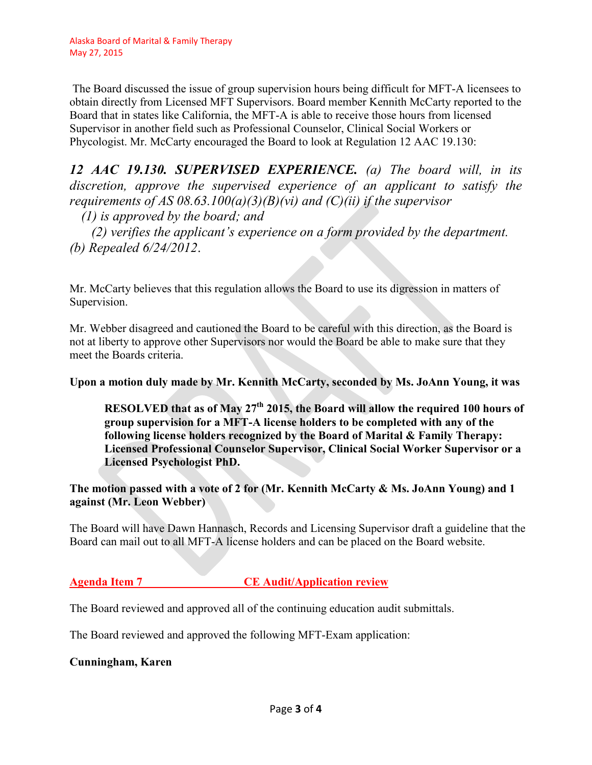The Board discussed the issue of group supervision hours being difficult for MFT-A licensees to obtain directly from Licensed MFT Supervisors. Board member Kennith McCarty reported to the Board that in states like California, the MFT-A is able to receive those hours from licensed Supervisor in another field such as Professional Counselor, Clinical Social Workers or Phycologist. Mr. McCarty encouraged the Board to look at Regulation 12 AAC 19.130:

*12 AAC 19.130. SUPERVISED EXPERIENCE. (a) The board will, in its discretion, approve the supervised experience of an applicant to satisfy the requirements of AS 08.63.100(a)(3)(B)(vi) and (C)(ii) if the supervisor* 

*(1) is approved by the board; and* 

*(2) verifies the applicant's experience on a form provided by the department. (b) Repealed 6/24/2012*.

Mr. McCarty believes that this regulation allows the Board to use its digression in matters of Supervision.

Mr. Webber disagreed and cautioned the Board to be careful with this direction, as the Board is not at liberty to approve other Supervisors nor would the Board be able to make sure that they meet the Boards criteria.

**Upon a motion duly made by Mr. Kennith McCarty, seconded by Ms. JoAnn Young, it was** 

**RESOLVED that as of May 27<sup>th</sup> 2015, the Board will allow the required 100 hours of group supervision for a MFT-A license holders to be completed with any of the following license holders recognized by the Board of Marital & Family Therapy: Licensed Professional Counselor Supervisor, Clinical Social Worker Supervisor or a Licensed Psychologist PhD.** 

**The motion passed with a vote of 2 for (Mr. Kennith McCarty & Ms. JoAnn Young) and 1 against (Mr. Leon Webber)** 

The Board will have Dawn Hannasch, Records and Licensing Supervisor draft a guideline that the Board can mail out to all MFT-A license holders and can be placed on the Board website.

## **Agenda Item 7 CE Audit/Application review**

The Board reviewed and approved all of the continuing education audit submittals.

The Board reviewed and approved the following MFT-Exam application:

### **Cunningham, Karen**